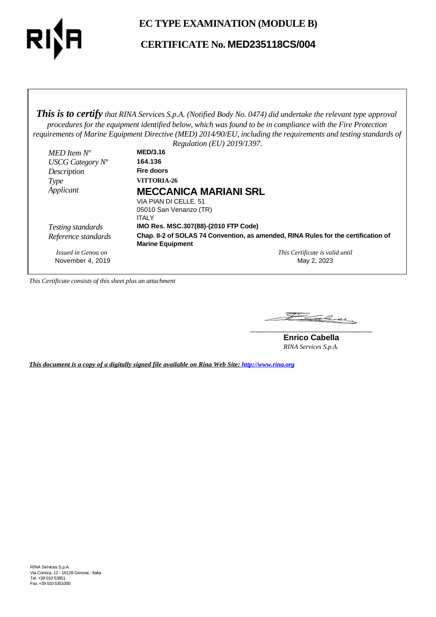

## **EC TYPE EXAMINATION (MODULE B)**

## **CERTIFICATE No. MED235118CS/004**

*This is to certify that RINA Services S.p.A. (Notified Body No. 0474) did undertake the relevant type approval procedures for the equipment identified below, which was found to be in compliance with the Fire Protection requirements of Marine Equipment Directive (MED) 2014/90/EU, including the requirements and testing standards of*

|                     | Regulation (EU) 2019/1397.                                                                                    |
|---------------------|---------------------------------------------------------------------------------------------------------------|
| MED Item $N^o$      | <b>MED/3.16</b>                                                                                               |
| USCG Category $N^o$ | 164.136                                                                                                       |
| Description         | Fire doors                                                                                                    |
| Type                | VITTORIA-26                                                                                                   |
| Applicant           | <b>MECCANICA MARIANI SRL</b>                                                                                  |
|                     | VIA PIAN DI CELLE, 51                                                                                         |
|                     | 05010 San Venanzo (TR)                                                                                        |
|                     | <b>ITALY</b>                                                                                                  |
| Testing standards   | IMO Res. MSC.307(88)-(2010 FTP Code)                                                                          |
| Reference standards | Chap. II-2 of SOLAS 74 Convention, as amended, RINA Rules for the certification of<br><b>Marine Equipment</b> |
| Issued in Genoa on  | This Certificate is valid until                                                                               |
| November 4, 2019    | May 2, 2023                                                                                                   |

*This Certificate consists of this sheet plus an attachment*

Falcey **\_\_\_\_\_\_\_\_\_\_\_\_\_\_\_\_\_\_\_\_\_\_\_\_\_\_\_\_\_\_\_\_\_\_\_\_\_**

**Enrico Cabella** *RINA Services S.p.A.*

*This document is a copy of a digitally signed file available on Rina Web Site: http://www.rina.org*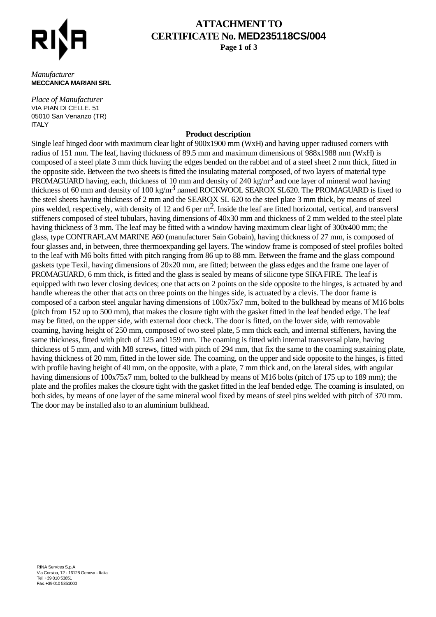

# **ATTACHMENT TO CERTIFICATE No. MED235118CS/004**

**Page 1 of 3**

#### *Manufacturer* **MECCANICA MARIANI SRL**

*Place of Manufacturer* VIA PIAN DI CELLE. 51 05010 San Venanzo (TR) ITALY

### **Product description**

Single leaf hinged door with maximum clear light of 900x1900 mm (WxH) and having upper radiused corners with radius of 151 mm. The leaf, having thickness of 89.5 mm and maximum dimensions of 988x1988 mm (WxH) is composed of a steel plate 3 mm thick having the edges bended on the rabbet and of a steel sheet 2 mm thick, fitted in the opposite side. Between the two sheets is fitted the insulating material composed, of two layers of material type PROMAGUARD having, each, thickness of 10 mm and density of 240 kg/m<sup>3</sup> and one layer of mineral wool having thickness of 60 mm and density of 100 kg/m<sup>3</sup> named ROCKWOOL SEAROX SL620. The PROMAGUARD is fixed to the steel sheets having thickness of 2 mm and the SEAROX SL 620 to the steel plate 3 mm thick, by means of steel pins welded, respectively, with density of 12 and 6 per  $m^2$ . Inside the leaf are fitted horizontal, vertical, and transversl stiffeners composed of steel tubulars, having dimensions of 40x30 mm and thickness of 2 mm welded to the steel plate having thickness of 3 mm. The leaf may be fitted with a window having maximum clear light of 300x400 mm; the glass, type CONTRAFLAM MARINE A60 (manufacturer Sain Gobain), having thickness of 27 mm, is composed of four glasses and, in between, three thermoexpanding gel layers. The window frame is composed of steel profiles bolted to the leaf with M6 bolts fitted with pitch ranging from 86 up to 88 mm. Between the frame and the glass compound gaskets type Texil, having dimensions of 20x20 mm, are fitted; between the glass edges and the frame one layer of PROMAGUARD, 6 mm thick, is fitted and the glass is sealed by means of silicone type SIKA FIRE. The leaf is equipped with two lever closing devices; one that acts on 2 points on the side opposite to the hinges, is actuated by and handle whereas the other that acts on three points on the hinges side, is actuated by a clevis. The door frame is composed of a carbon steel angular having dimensions of 100x75x7 mm, bolted to the bulkhead by means of M16 bolts (pitch from 152 up to 500 mm), that makes the closure tight with the gasket fitted in the leaf bended edge. The leaf may be fitted, on the upper side, with external door check. The door is fitted, on the lower side, with removable coaming, having height of 250 mm, composed of two steel plate, 5 mm thick each, and internal stiffeners, having the same thickness, fitted with pitch of 125 and 159 mm. The coaming is fitted with internal transversal plate, having thickness of 5 mm, and with M8 screws, fitted with pitch of 294 mm, that fix the same to the coaming sustaining plate, having thickness of 20 mm, fitted in the lower side. The coaming, on the upper and side opposite to the hinges, is fitted with profile having height of 40 mm, on the opposite, with a plate, 7 mm thick and, on the lateral sides, with angular having dimensions of  $100x75x7$  mm, bolted to the bulkhead by means of M16 bolts (pitch of 175 up to 189 mm); the plate and the profiles makes the closure tight with the gasket fitted in the leaf bended edge. The coaming is insulated, on both sides, by means of one layer of the same mineral wool fixed by means of steel pins welded with pitch of 370 mm. The door may be installed also to an aluminium bulkhead.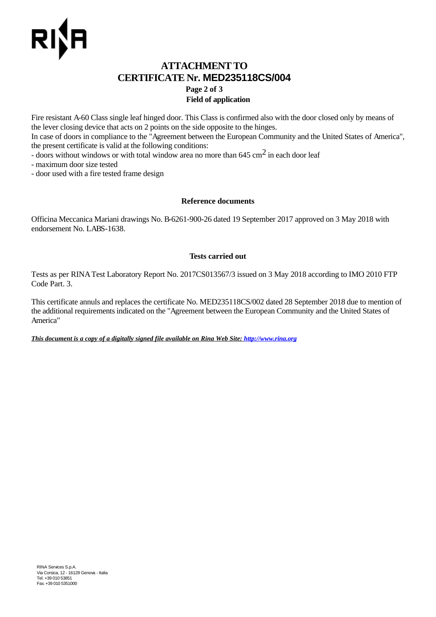### **ATTACHMENT TO CERTIFICATE Nr. MED235118CS/004 Page 2 of 3 Field of application**

Fire resistant A-60 Class single leaf hinged door. This Class is confirmed also with the door closed only by means of the lever closing device that acts on 2 points on the side opposite to the hinges.

In case of doors in compliance to the "Agreement between the European Community and the United States of America", the present certificate is valid at the following conditions:

- doors without windows or with total window area no more than 645 cm<sup>2</sup> in each door leaf

- maximum door size tested

- door used with a fire tested frame design

### **Reference documents**

Officina Meccanica Mariani drawings No. B-6261-900-26 dated 19 September 2017 approved on 3 May 2018 with endorsement No. LABS-1638.

### **Tests carried out**

Tests as per RINA Test Laboratory Report No. 2017CS013567/3 issued on 3 May 2018 according to IMO 2010 FTP Code Part. 3.

This certificate annuls and replaces the certificate No. MED235118CS/002 dated 28 September 2018 due to mention of the additional requirements indicated on the "Agreement between the European Community and the United States of America"

*This document is a copy of a digitally signed file available on Rina Web Site: http://www.rina.org*